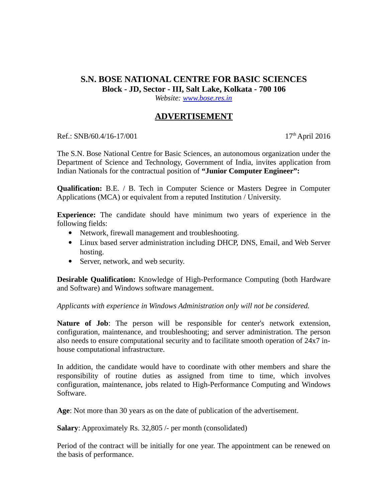## **S.N. BOSE NATIONAL CENTRE FOR BASIC SCIENCES Block - JD, Sector - III, Salt Lake, Kolkata - 700 106**

*Website: [www.bose.res.in](http://www.bose.res.in/)*

## **ADVERTISEMENT**

Ref.: SNB/60.4/16-17/001 17th April 2016

The S.N. Bose National Centre for Basic Sciences, an autonomous organization under the Department of Science and Technology, Government of India, invites application from Indian Nationals for the contractual position of **"Junior Computer Engineer":**

**Qualification:** B.E. / B. Tech in Computer Science or Masters Degree in Computer Applications (MCA) or equivalent from a reputed Institution / University.

**Experience:** The candidate should have minimum two years of experience in the following fields:

- Network, firewall management and troubleshooting.
- Linux based server administration including DHCP, DNS, Email, and Web Server hosting.
- Server, network, and web security.

**Desirable Qualification:** Knowledge of High-Performance Computing (both Hardware and Software) and Windows software management.

*Applicants with experience in Windows Administration only will not be considered.* 

**Nature of Job**: The person will be responsible for center's network extension, configuration, maintenance, and troubleshooting; and server administration. The person also needs to ensure computational security and to facilitate smooth operation of 24x7 inhouse computational infrastructure.

In addition, the candidate would have to coordinate with other members and share the responsibility of routine duties as assigned from time to time, which involves configuration, maintenance, jobs related to High-Performance Computing and Windows Software.

**Age**: Not more than 30 years as on the date of publication of the advertisement.

**Salary**: Approximately Rs. 32,805 /- per month (consolidated)

Period of the contract will be initially for one year. The appointment can be renewed on the basis of performance.